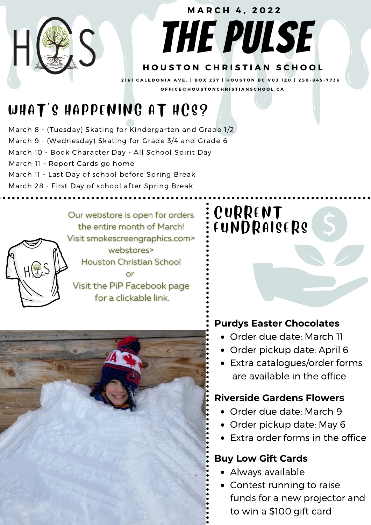## THE PULSE **H O U S T O N C H R I S T I A N S C H O O L M A R C H 4 , 2 0 2 2** 2161 CALEDONIA AVE. | BOX 237 | HOUSTON BC V0J 1Z0 | 250-845-7736 OFFICE@HOUSTONCHRISTIANSCHOOL.CA

## WHAT'S HAPPENING AT HCS?

March 8 - (Tuesday) Skating for Kindergarten and Grade 1/2 March 9 - (Wednesday) Skating for Grade 3/4 and Grade 6 March 10 - Book Character Day - All School Spirit Day March 11 - Report Cards go home March 11 - Last Day of school before Spring Break March 28 - First Day of school after Spring Break

> Our webstore is open for orders the entire month of March! Visit smokescreengraphics.com> webstores> **Houston Christian School** or Visit the PiP Facebook page for a clickable link.

 $H(f, S)$ 



### **CURRENT** FUNDRAISERS

#### **Purdys Easter Chocolates**

- Order due date: March 11
- Order pickup date: April 6
- Extra catalogues/order forms are available in the office

#### **Riverside Gardens Flowers**

- Order due date: March 9
- Order pickup date: May 6
- Extra order forms in the office

#### **Buy Low Gift Cards**

- Always available
- Contest running to raise funds for a new projector and to win a \$100 gift card